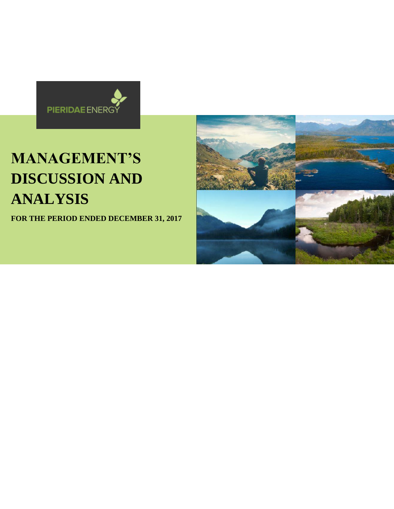

# **MANAGEMENT'S DISCUSSION AND ANALYSIS**

**FOR THE PERIOD ENDED DECEMBER 31, 2017**

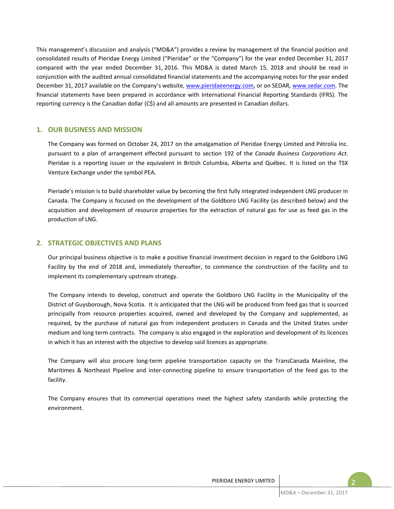This management's discussion and analysis ("MD&A") provides a review by management of the financial position and consolidated results of Pieridae Energy Limited ("Pieridae" or the "Company") for the year ended December 31, 2017 compared with the year ended December 31, 2016. This MD&A is dated March 15, 2018 and should be read in conjunction with the audited annual consolidated financial statements and the accompanying notes for the year ended December 31, 2017 available on the Company's website, www.pieridaeenergy.com, or on SEDAR, www.sedar.com. The financial statements have been prepared in accordance with International Financial Reporting Standards (IFRS). The reporting currency is the Canadian dollar (C\$) and all amounts are presented in Canadian dollars.

## **1. OUR BUSINESS AND MISSION**

The Company was formed on October 24, 2017 on the amalgamation of Pieridae Energy Limited and Pétrolia Inc. pursuant to a plan of arrangement effected pursuant to section 192 of the *Canada Business Corporations Act.* Pieridae is a reporting issuer or the equivalent in British Columbia, Alberta and Québec. It is listed on the TSX Venture Exchange under the symbol PEA.

Pieriade's mission is to build shareholder value by becoming the first fully integrated independent LNG producer in Canada. The Company is focused on the development of the Goldboro LNG Facility (as described below) and the acquisition and development of resource properties for the extraction of natural gas for use as feed gas in the production of LNG.

# **2. STRATEGIC OBJECTIVES AND PLANS**

Our principal business objective is to make a positive financial investment decision in regard to the Goldboro LNG Facility by the end of 2018 and, immediately thereafter, to commence the construction of the facility and to implement its complementary upstream strategy.

The Company intends to develop, construct and operate the Goldboro LNG Facility in the Municipality of the District of Guysborough, Nova Scotia. It is anticipated that the LNG will be produced from feed gas that is sourced principally from resource properties acquired, owned and developed by the Company and supplemented, as required, by the purchase of natural gas from independent producers in Canada and the United States under medium and long term contracts. The company is also engaged in the exploration and development of its licences in which it has an interest with the objective to develop said licences as appropriate.

The Company will also procure long-term pipeline transportation capacity on the TransCanada Mainline, the Maritimes & Northeast Pipeline and inter-connecting pipeline to ensure transportation of the feed gas to the facility.

The Company ensures that its commercial operations meet the highest safety standards while protecting the environment.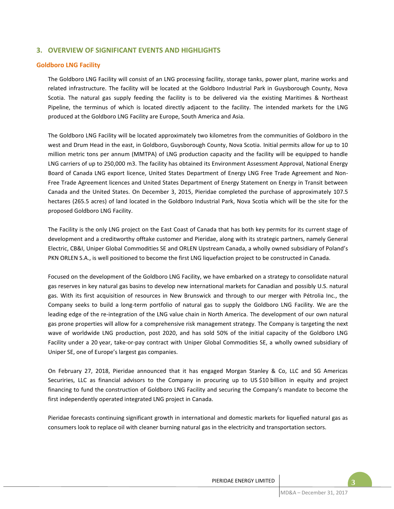# **3. OVERVIEW OF SIGNIFICANT EVENTS AND HIGHLIGHTS**

## **Goldboro LNG Facility**

The Goldboro LNG Facility will consist of an LNG processing facility, storage tanks, power plant, marine works and related infrastructure. The facility will be located at the Goldboro Industrial Park in Guysborough County, Nova Scotia. The natural gas supply feeding the facility is to be delivered via the existing Maritimes & Northeast Pipeline, the terminus of which is located directly adjacent to the facility. The intended markets for the LNG produced at the Goldboro LNG Facility are Europe, South America and Asia.

The Goldboro LNG Facility will be located approximately two kilometres from the communities of Goldboro in the west and Drum Head in the east, in Goldboro, Guysborough County, Nova Scotia. Initial permits allow for up to 10 million metric tons per annum (MMTPA) of LNG production capacity and the facility will be equipped to handle LNG carriers of up to 250,000 m3. The facility has obtained its Environment Assessment Approval, National Energy Board of Canada LNG export licence, United States Department of Energy LNG Free Trade Agreement and Non-Free Trade Agreement licences and United States Department of Energy Statement on Energy in Transit between Canada and the United States. On December 3, 2015, Pieridae completed the purchase of approximately 107.5 hectares (265.5 acres) of land located in the Goldboro Industrial Park, Nova Scotia which will be the site for the proposed Goldboro LNG Facility.

The Facility is the only LNG project on the East Coast of Canada that has both key permits for its current stage of development and a creditworthy offtake customer and Pieridae, along with its strategic partners, namely General Electric, CB&I, Uniper Global Commodities SE and ORLEN Upstream Canada, a wholly owned subsidiary of Poland's PKN ORLEN S.A., is well positioned to become the first LNG liquefaction project to be constructed in Canada.

Focused on the development of the Goldboro LNG Facility, we have embarked on a strategy to consolidate natural gas reserves in key natural gas basins to develop new international markets for Canadian and possibly U.S. natural gas. With its first acquisition of resources in New Brunswick and through to our merger with Pétrolia Inc., the Company seeks to build a long-term portfolio of natural gas to supply the Goldboro LNG Facility. We are the leading edge of the re-integration of the LNG value chain in North America. The development of our own natural gas prone properties will allow for a comprehensive risk management strategy. The Company is targeting the next wave of worldwide LNG production, post 2020, and has sold 50% of the initial capacity of the Goldboro LNG Facility under a 20 year, take-or-pay contract with Uniper Global Commodities SE, a wholly owned subsidiary of Uniper SE, one of Europe's largest gas companies.

On February 27, 2018, Pieridae announced that it has engaged Morgan Stanley & Co, LLC and SG Americas Securiries, LLC as financial advisors to the Company in procuring up to US \$10 billion in equity and project financing to fund the construction of Goldboro LNG Facility and securing the Company's mandate to become the first independently operated integrated LNG project in Canada.

Pieridae forecasts continuing significant growth in international and domestic markets for liquefied natural gas as consumers look to replace oil with cleaner burning natural gas in the electricity and transportation sectors.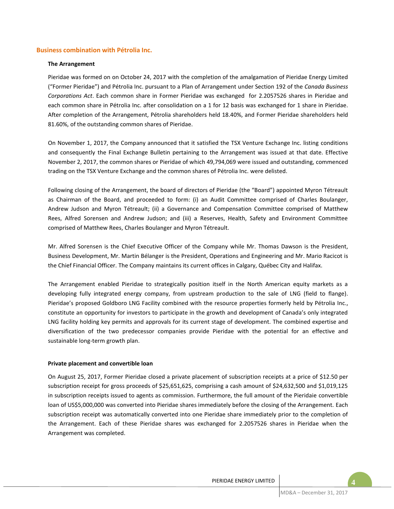## **Business combination with Pétrolia Inc.**

#### **The Arrangement**

Pieridae was formed on on October 24, 2017 with the completion of the amalgamation of Pieridae Energy Limited ("Former Pieridae") and Pétrolia Inc. pursuant to a Plan of Arrangement under Section 192 of the *Canada Business Corporations Act*. Each common share in Former Pieridae was exchanged for 2.2057526 shares in Pieridae and each common share in Pétrolia Inc. after consolidation on a 1 for 12 basis was exchanged for 1 share in Pieridae. After completion of the Arrangement, Pétrolia shareholders held 18.40%, and Former Pieridae shareholders held 81.60%, of the outstanding common shares of Pieridae.

On November 1, 2017, the Company announced that it satisfied the TSX Venture Exchange Inc. listing conditions and consequently the Final Exchange Bulletin pertaining to the Arrangement was issued at that date. Effective November 2, 2017, the common shares or Pieridae of which 49,794,069 were issued and outstanding, commenced trading on the TSX Venture Exchange and the common shares of Pétrolia Inc. were delisted.

Following closing of the Arrangement, the board of directors of Pieridae (the "Board") appointed Myron Tétreault as Chairman of the Board, and proceeded to form: (i) an Audit Committee comprised of Charles Boulanger, Andrew Judson and Myron Tétreault; (ii) a Governance and Compensation Committee comprised of Matthew Rees, Alfred Sorensen and Andrew Judson; and (iii) a Reserves, Health, Safety and Environment Committee comprised of Matthew Rees, Charles Boulanger and Myron Tétreault.

Mr. Alfred Sorensen is the Chief Executive Officer of the Company while Mr. Thomas Dawson is the President, Business Development, Mr. Martin Bélanger is the President, Operations and Engineering and Mr. Mario Racicot is the Chief Financial Officer. The Company maintains its current offices in Calgary, Québec City and Halifax.

The Arrangement enabled Pieridae to strategically position itself in the North American equity markets as a developing fully integrated energy company, from upstream production to the sale of LNG (field to flange). Pieridae's proposed Goldboro LNG Facility combined with the resource properties formerly held by Pétrolia Inc., constitute an opportunity for investors to participate in the growth and development of Canada's only integrated LNG facility holding key permits and approvals for its current stage of development. The combined expertise and diversification of the two predecessor companies provide Pieridae with the potential for an effective and sustainable long-term growth plan.

#### **Private placement and convertible loan**

On August 25, 2017, Former Pieridae closed a private placement of subscription receipts at a price of \$12.50 per subscription receipt for gross proceeds of \$25,651,625, comprising a cash amount of \$24,632,500 and \$1,019,125 in subscription receipts issued to agents as commission. Furthermore, the full amount of the Pieridaie convertible loan of US\$5,000,000 was converted into Pieridae shares immediately before the closing of the Arrangement. Each subscription receipt was automatically converted into one Pieridae share immediately prior to the completion of the Arrangement. Each of these Pieridae shares was exchanged for 2.2057526 shares in Pieridae when the Arrangement was completed.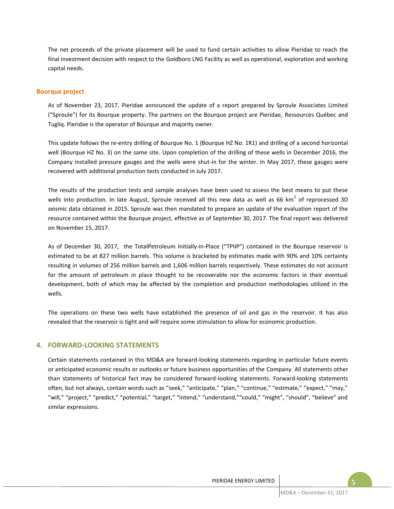The net proceeds of the private placement will be used to fund certain activities to allow Pieridae to reach the final investment decision with respect to the Goldboro LNG Facility as well as operational, exploration and working capital needs.

## **Bourque project**

As of November 23, 2017, Pieridae announced the update of a report prepared by Sproule Associates Limited ("Sproule") for its Bourque property. The partners on the Bourque project are Pieridae, Ressources Québec and Tugliq. Pieridae is the operator of Bourque and majority owner.

This update follows the re-entry drilling of Bourque No. 1 (Bourque HZ No. 1R1) and drilling of a second horizontal well (Bourque HZ No. 3) on the same site. Upon completion of the drilling of these wells in December 2016, the Company installed pressure gauges and the wells were shut-in for the winter. In May 2017, these gauges were recovered with additional production tests conducted in July 2017.

The results of the production tests and sample analyses have been used to assess the best means to put these wells into production. In late August, Sproule received all this new data as well as 66 km<sup>2</sup> of reprocessed 3D seismic data obtained in 2015. Sproule was then mandated to prepare an update of the evaluation report of the resource contained within the Bourque project, effective as of September 30, 2017. The final report was delivered on November 15, 2017.

As of December 30, 2017, the TotalPetroleum Initially-in-Place ("TPIIP") contained in the Bourque reservoir is estimated to be at 827 million barrels. This volume is bracketed by estimates made with 90% and 10% certainty resulting in volumes of 256 million barrels and 1,606 million barrels respectively. These estimates do not account for the amount of petroleum in place thought to be recoverable nor the economic factors in their eventual development, both of which may be affected by the completion and production methodologies utilized in the wells.

The operations on these two wells have established the presence of oil and gas in the reservoir. It has also revealed that the reservoir is tight and will require some stimulation to allow for economic production.

# **4. FORWARD-LOOKING STATEMENTS**

Certain statements contained in this MD&A are forward-looking statements regarding in particular future events or anticipated economic results or outlooks or future business opportunities of the Company. All statements other than statements of historical fact may be considered forward-looking statements. Forward-looking statements often, but not always, contain words such as "seek," "anticipate," "plan," "continue," "estimate," "expect," "may," "will," "project," "predict," "potential," "target," "intend," "understand,""could," "might", "should", "believe" and similar expressions.

**5**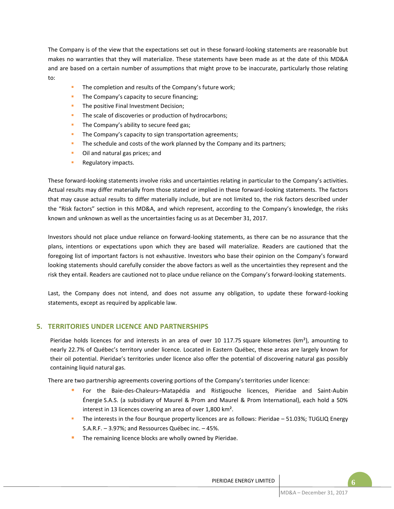The Company is of the view that the expectations set out in these forward-looking statements are reasonable but makes no warranties that they will materialize. These statements have been made as at the date of this MD&A and are based on a certain number of assumptions that might prove to be inaccurate, particularly those relating to:

- The completion and results of the Company's future work;
- **The Company's capacity to secure financing;**
- **The positive Final Investment Decision;**
- The scale of discoveries or production of hydrocarbons;
- **The Company's ability to secure feed gas;**
- **The Company's capacity to sign transportation agreements;**
- The schedule and costs of the work planned by the Company and its partners;
- **•** Oil and natural gas prices; and
- **Regulatory impacts.**

These forward-looking statements involve risks and uncertainties relating in particular to the Company's activities. Actual results may differ materially from those stated or implied in these forward-looking statements. The factors that may cause actual results to differ materially include, but are not limited to, the risk factors described under the "Risk factors" section in this MD&A, and which represent, according to the Company's knowledge, the risks known and unknown as well as the uncertainties facing us as at December 31, 2017.

Investors should not place undue reliance on forward-looking statements, as there can be no assurance that the plans, intentions or expectations upon which they are based will materialize. Readers are cautioned that the foregoing list of important factors is not exhaustive. Investors who base their opinion on the Company's forward looking statements should carefully consider the above factors as well as the uncertainties they represent and the risk they entail. Readers are cautioned not to place undue reliance on the Company's forward-looking statements.

Last, the Company does not intend, and does not assume any obligation, to update these forward-looking statements, except as required by applicable law.

# **5. TERRITORIES UNDER LICENCE AND PARTNERSHIPS**

Pieridae holds licences for and interests in an area of over 10 117.75 square kilometres (km<sup>2</sup>), amounting to nearly 22.7% of Québec's territory under licence. Located in Eastern Québec, these areas are largely known for their oil potential. Pieridae's territories under licence also offer the potential of discovering natural gas possibly containing liquid natural gas.

There are two partnership agreements covering portions of the Company's territories under licence:

- For the Baie-des-Chaleurs–Matapédia and Ristigouche licences, Pieridae and Saint-Aubin Énergie S.A.S. (a subsidiary of Maurel & Prom and Maurel & Prom International), each hold a 50% interest in 13 licences covering an area of over 1,800 km².
- The interests in the four Bourque property licences are as follows: Pieridae 51.03%; TUGLIQ Energy S.A.R.F. – 3.97%; and Ressources Québec inc. – 45%.
- The remaining licence blocks are wholly owned by Pieridae.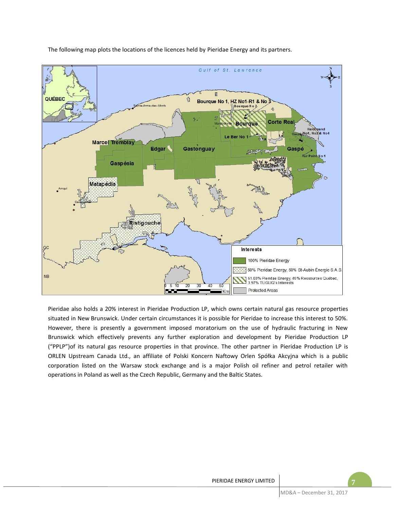

The following map plots the locations of the licences held by Pieridae Energy and its partners.

Pieridae also holds a 20% interest in Pieridae Production LP, which owns certain natural gas resource properties situated in New Brunswick. Under certain circumstances it is possible for Pieridae to increase this interest to 50%. However, there is presently a government imposed moratorium on the use of hydraulic fracturing in New Brunswick which effectively prevents any further exploration and development by Pieridae Production LP ("PPLP")of its natural gas resource properties in that province. The other partner in Pieridae Production LP is ORLEN Upstream Canada Ltd., an affiliate of Polski Koncern Naftowy Orlen Spółka Akcyjna which is a public corporation listed on the Warsaw stock exchange and is a major Polish oil refiner and petrol retailer with operations in Poland as well as the Czech Republic, Germany and the Baltic States.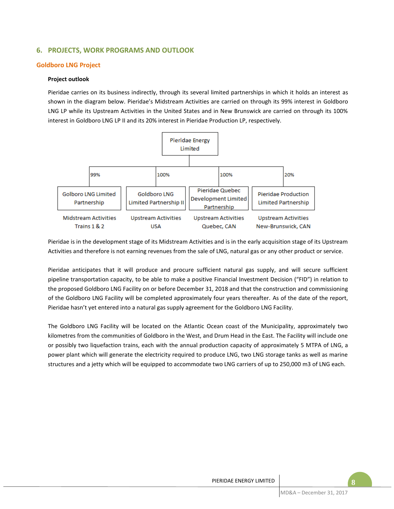# **6. PROJECTS, WORK PROGRAMS AND OUTLOOK**

## **Goldboro LNG Project**

## **Project outlook**

Pieridae carries on its business indirectly, through its several limited partnerships in which it holds an interest as shown in the diagram below. Pieridae's Midstream Activities are carried on through its 99% interest in Goldboro LNG LP while its Upstream Activities in the United States and in New Brunswick are carried on through its 100% interest in Goldboro LNG LP II and its 20% interest in Pieridae Production LP, respectively.



Pieridae is in the development stage of its Midstream Activities and is in the early acquisition stage of its Upstream Activities and therefore is not earning revenues from the sale of LNG, natural gas or any other product or service.

Pieridae anticipates that it will produce and procure sufficient natural gas supply, and will secure sufficient pipeline transportation capacity, to be able to make a positive Financial Investment Decision ("FID") in relation to the proposed Goldboro LNG Facility on or before December 31, 2018 and that the construction and commissioning of the Goldboro LNG Facility will be completed approximately four years thereafter. As of the date of the report, Pieridae hasn't yet entered into a natural gas supply agreement for the Goldboro LNG Facility.

The Goldboro LNG Facility will be located on the Atlantic Ocean coast of the Municipality, approximately two kilometres from the communities of Goldboro in the West, and Drum Head in the East. The Facility will include one or possibly two liquefaction trains, each with the annual production capacity of approximately 5 MTPA of LNG, a power plant which will generate the electricity required to produce LNG, two LNG storage tanks as well as marine structures and a jetty which will be equipped to accommodate two LNG carriers of up to 250,000 m3 of LNG each.

**8**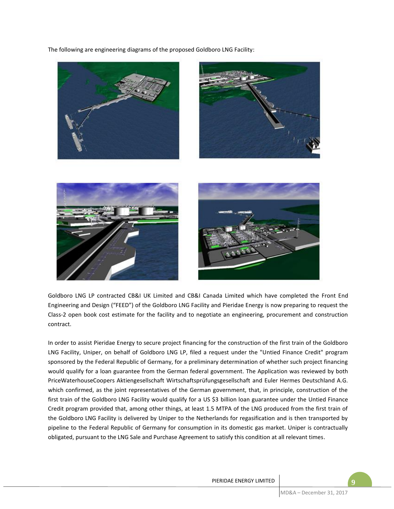The following are engineering diagrams of the proposed Goldboro LNG Facility:



Goldboro LNG LP contracted CB&I UK Limited and CB&I Canada Limited which have completed the Front End Engineering and Design ("FEED") of the Goldboro LNG Facility and Pieridae Energy is now preparing to request the Class-2 open book cost estimate for the facility and to negotiate an engineering, procurement and construction contract.

In order to assist Pieridae Energy to secure project financing for the construction of the first train of the Goldboro LNG Facility, Uniper, on behalf of Goldboro LNG LP, filed a request under the "Untied Finance Credit" program sponsored by the Federal Republic of Germany, for a preliminary determination of whether such project financing would qualify for a loan guarantee from the German federal government. The Application was reviewed by both PriceWaterhouseCoopers Aktiengesellschaft Wirtschaftsprüfungsgesellschaft and Euler Hermes Deutschland A.G. which confirmed, as the joint representatives of the German government, that, in principle, construction of the first train of the Goldboro LNG Facility would qualify for a US \$3 billion loan guarantee under the Untied Finance Credit program provided that, among other things, at least 1.5 MTPA of the LNG produced from the first train of the Goldboro LNG Facility is delivered by Uniper to the Netherlands for regasification and is then transported by pipeline to the Federal Republic of Germany for consumption in its domestic gas market. Uniper is contractually obligated, pursuant to the LNG Sale and Purchase Agreement to satisfy this condition at all relevant times.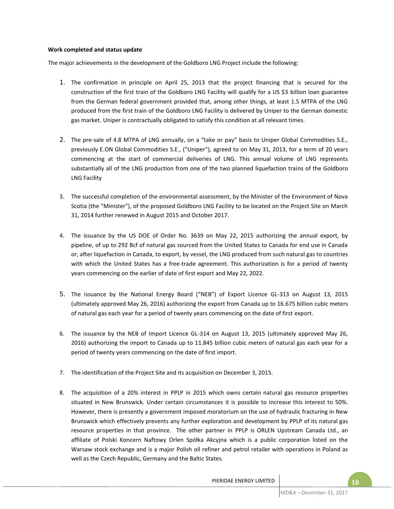## **Work completed and status update**

The major achievements in the development of the Goldboro LNG Project include the following:

- 1. The confirmation in principle on April 25, 2013 that the project financing that is secured for the construction of the first train of the Goldboro LNG Facility will qualify for a US \$3 billion loan guarantee from the German federal government provided that, among other things, at least 1.5 MTPA of the LNG produced from the first train of the Goldboro LNG Facility is delivered by Uniper to the German domestic gas market. Uniper is contractually obligated to satisfy this condition at all relevant times.
- 2. The pre-sale of 4.8 MTPA of LNG annually, on a "take or pay" basis to Uniper Global Commodities S.E., previously E.ON Global Commodities S.E., ("Uniper"), agreed to on May 31, 2013, for a term of 20 years commencing at the start of commercial deliveries of LNG. This annual volume of LNG represents substantially all of the LNG production from one of the two planned liquefaction trains of the Goldboro LNG Facility
- 3. The successful completion of the environmental assessment, by the Minister of the Environment of Nova Scotia (the "Minister"), of the proposed Goldboro LNG Facility to be located on the Project Site on March 31, 2014 further renewed in August 2015 and October 2017.
- 4. The issuance by the US DOE of Order No. 3639 on May 22, 2015 authorizing the annual export, by pipeline, of up to 292 Bcf of natural gas sourced from the United States to Canada for end use in Canada or, after liquefaction in Canada, to export, by vessel, the LNG produced from such natural gas to countries with which the United States has a free-trade agreement. This authorization is for a period of twenty years commencing on the earlier of date of first export and May 22, 2022.
- 5. The issuance by the National Energy Board ("NEB") of Export Licence GL-313 on August 13, 2015 (ultimately approved May 26, 2016) authorizing the export from Canada up to 16.675 billion cubic meters of natural gas each year for a period of twenty years commencing on the date of first export.
- 6. The issuance by the NEB of Import Licence GL-314 on August 13, 2015 (ultimately approved May 26, 2016) authorizing the import to Canada up to 11.845 billion cubic meters of natural gas each year for a period of twenty years commencing on the date of first import.
- 7. The identification of the Project Site and its acquisition on December 3, 2015.
- 8. The acquisition of a 20% interest in PPLP in 2015 which owns certain natural gas resource properties situated in New Brunswick. Under certain circumstances it is possible to increase this interest to 50%. However, there is presently a government imposed moratorium on the use of hydraulic fracturing in New Brunswick which effectively prevents any further exploration and development by PPLP of its natural gas resource properties in that province. The other partner in PPLP is ORLEN Upstream Canada Ltd., an affiliate of Polski Koncern Naftowy Orlen Spółka Akcyjna which is a public corporation listed on the Warsaw stock exchange and is a major Polish oil refiner and petrol retailer with operations in Poland as well as the Czech Republic, Germany and the Baltic States.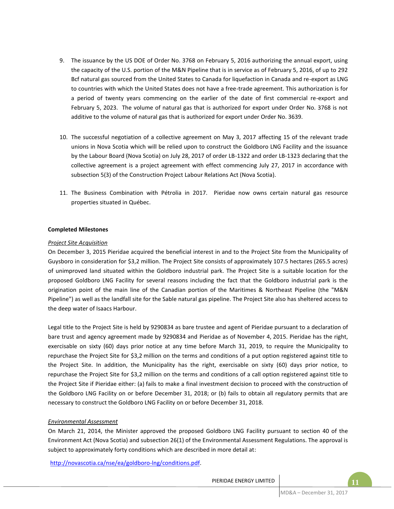- 9. The issuance by the US DOE of Order No. 3768 on February 5, 2016 authorizing the annual export, using the capacity of the U.S. portion of the M&N Pipeline that is in service as of February 5, 2016, of up to 292 Bcf natural gas sourced from the United States to Canada for liquefaction in Canada and re-export as LNG to countries with which the United States does not have a free-trade agreement. This authorization is for a period of twenty years commencing on the earlier of the date of first commercial re-export and February 5, 2023. The volume of natural gas that is authorized for export under Order No. 3768 is not additive to the volume of natural gas that is authorized for export under Order No. 3639.
- 10. The successful negotiation of a collective agreement on May 3, 2017 affecting 15 of the relevant trade unions in Nova Scotia which will be relied upon to construct the Goldboro LNG Facility and the issuance by the Labour Board (Nova Scotia) on July 28, 2017 of order LB-1322 and order LB-1323 declaring that the collective agreement is a project agreement with effect commencing July 27, 2017 in accordance with subsection 5(3) of the Construction Project Labour Relations Act (Nova Scotia).
- 11. The Business Combination with Pétrolia in 2017. Pieridae now owns certain natural gas resource properties situated in Québec.

## **Completed Milestones**

#### *Project Site Acquisition*

On December 3, 2015 Pieridae acquired the beneficial interest in and to the Project Site from the Municipality of Guysboro in consideration for \$3,2 million. The Project Site consists of approximately 107.5 hectares (265.5 acres) of unimproved land situated within the Goldboro industrial park. The Project Site is a suitable location for the proposed Goldboro LNG Facility for several reasons including the fact that the Goldboro industrial park is the origination point of the main line of the Canadian portion of the Maritimes & Northeast Pipeline (the "M&N Pipeline") as well as the landfall site for the Sable natural gas pipeline. The Project Site also has sheltered access to the deep water of Isaacs Harbour.

Legal title to the Project Site is held by 9290834 as bare trustee and agent of Pieridae pursuant to a declaration of bare trust and agency agreement made by 9290834 and Pieridae as of November 4, 2015. Pieridae has the right, exercisable on sixty (60) days prior notice at any time before March 31, 2019, to require the Municipality to repurchase the Project Site for \$3,2 million on the terms and conditions of a put option registered against title to the Project Site. In addition, the Municipality has the right, exercisable on sixty (60) days prior notice, to repurchase the Project Site for \$3,2 million on the terms and conditions of a call option registered against title to the Project Site if Pieridae either: (a) fails to make a final investment decision to proceed with the construction of the Goldboro LNG Facility on or before December 31, 2018; or (b) fails to obtain all regulatory permits that are necessary to construct the Goldboro LNG Facility on or before December 31, 2018.

#### *Environmental Assessment*

On March 21, 2014, the Minister approved the proposed Goldboro LNG Facility pursuant to section 40 of the Environment Act (Nova Scotia) and subsection 26(1) of the Environmental Assessment Regulations. The approval is subject to approximately forty conditions which are described in more detail at:

http://novascotia.ca/nse/ea/goldboro-lng/conditions.pdf.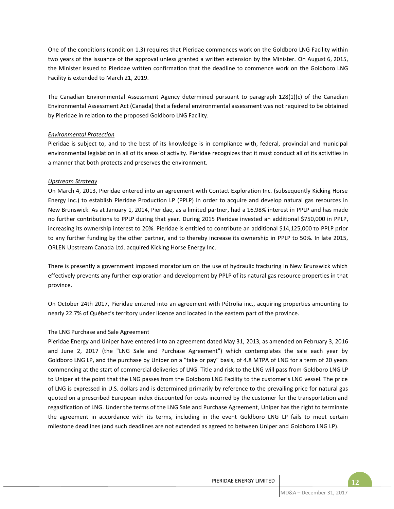One of the conditions (condition 1.3) requires that Pieridae commences work on the Goldboro LNG Facility within two years of the issuance of the approval unless granted a written extension by the Minister. On August 6, 2015, the Minister issued to Pieridae written confirmation that the deadline to commence work on the Goldboro LNG Facility is extended to March 21, 2019.

The Canadian Environmental Assessment Agency determined pursuant to paragraph 128(1)(c) of the Canadian Environmental Assessment Act (Canada) that a federal environmental assessment was not required to be obtained by Pieridae in relation to the proposed Goldboro LNG Facility.

## *Environmental Protection*

Pieridae is subject to, and to the best of its knowledge is in compliance with, federal, provincial and municipal environmental legislation in all of its areas of activity. Pieridae recognizes that it must conduct all of its activities in a manner that both protects and preserves the environment.

# *Upstream Strategy*

On March 4, 2013, Pieridae entered into an agreement with Contact Exploration Inc. (subsequently Kicking Horse Energy Inc.) to establish Pieridae Production LP (PPLP) in order to acquire and develop natural gas resources in New Brunswick. As at January 1, 2014, Pieridae, as a limited partner, had a 16.98% interest in PPLP and has made no further contributions to PPLP during that year. During 2015 Pieridae invested an additional \$750,000 in PPLP, increasing its ownership interest to 20%. Pieridae is entitled to contribute an additional \$14,125,000 to PPLP prior to any further funding by the other partner, and to thereby increase its ownership in PPLP to 50%. In late 2015, ORLEN Upstream Canada Ltd. acquired Kicking Horse Energy Inc.

There is presently a government imposed moratorium on the use of hydraulic fracturing in New Brunswick which effectively prevents any further exploration and development by PPLP of its natural gas resource properties in that province.

On October 24th 2017, Pieridae entered into an agreement with Pétrolia inc., acquiring properties amounting to nearly 22.7% of Québec's territory under licence and located in the eastern part of the province.

## The LNG Purchase and Sale Agreement

Pieridae Energy and Uniper have entered into an agreement dated May 31, 2013, as amended on February 3, 2016 and June 2, 2017 (the "LNG Sale and Purchase Agreement") which contemplates the sale each year by Goldboro LNG LP, and the purchase by Uniper on a "take or pay" basis, of 4.8 MTPA of LNG for a term of 20 years commencing at the start of commercial deliveries of LNG. Title and risk to the LNG will pass from Goldboro LNG LP to Uniper at the point that the LNG passes from the Goldboro LNG Facility to the customer's LNG vessel. The price of LNG is expressed in U.S. dollars and is determined primarily by reference to the prevailing price for natural gas quoted on a prescribed European index discounted for costs incurred by the customer for the transportation and regasification of LNG. Under the terms of the LNG Sale and Purchase Agreement, Uniper has the right to terminate the agreement in accordance with its terms, including in the event Goldboro LNG LP fails to meet certain milestone deadlines (and such deadlines are not extended as agreed to between Uniper and Goldboro LNG LP).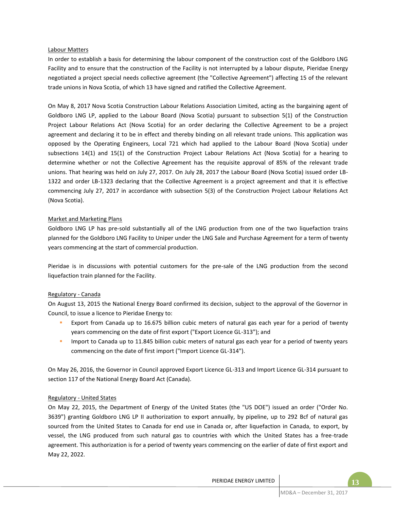## Labour Matters

In order to establish a basis for determining the labour component of the construction cost of the Goldboro LNG Facility and to ensure that the construction of the Facility is not interrupted by a labour dispute, Pieridae Energy negotiated a project special needs collective agreement (the "Collective Agreement") affecting 15 of the relevant trade unions in Nova Scotia, of which 13 have signed and ratified the Collective Agreement.

On May 8, 2017 Nova Scotia Construction Labour Relations Association Limited, acting as the bargaining agent of Goldboro LNG LP, applied to the Labour Board (Nova Scotia) pursuant to subsection 5(1) of the Construction Project Labour Relations Act (Nova Scotia) for an order declaring the Collective Agreement to be a project agreement and declaring it to be in effect and thereby binding on all relevant trade unions. This application was opposed by the Operating Engineers, Local 721 which had applied to the Labour Board (Nova Scotia) under subsections 14(1) and 15(1) of the Construction Project Labour Relations Act (Nova Scotia) for a hearing to determine whether or not the Collective Agreement has the requisite approval of 85% of the relevant trade unions. That hearing was held on July 27, 2017. On July 28, 2017 the Labour Board (Nova Scotia) issued order LB-1322 and order LB-1323 declaring that the Collective Agreement is a project agreement and that it is effective commencing July 27, 2017 in accordance with subsection 5(3) of the Construction Project Labour Relations Act (Nova Scotia).

## Market and Marketing Plans

Goldboro LNG LP has pre-sold substantially all of the LNG production from one of the two liquefaction trains planned for the Goldboro LNG Facility to Uniper under the LNG Sale and Purchase Agreement for a term of twenty years commencing at the start of commercial production.

Pieridae is in discussions with potential customers for the pre-sale of the LNG production from the second liquefaction train planned for the Facility.

#### Regulatory - Canada

On August 13, 2015 the National Energy Board confirmed its decision, subject to the approval of the Governor in Council, to issue a licence to Pieridae Energy to:

- Export from Canada up to 16.675 billion cubic meters of natural gas each year for a period of twenty years commencing on the date of first export ("Export Licence GL-313"); and
- Import to Canada up to 11.845 billion cubic meters of natural gas each year for a period of twenty years commencing on the date of first import ("Import Licence GL-314").

On May 26, 2016, the Governor in Council approved Export Licence GL-313 and Import Licence GL-314 pursuant to section 117 of the National Energy Board Act (Canada).

## Regulatory - United States

On May 22, 2015, the Department of Energy of the United States (the "US DOE") issued an order ("Order No. 3639") granting Goldboro LNG LP II authorization to export annually, by pipeline, up to 292 Bcf of natural gas sourced from the United States to Canada for end use in Canada or, after liquefaction in Canada, to export, by vessel, the LNG produced from such natural gas to countries with which the United States has a free-trade agreement. This authorization is for a period of twenty years commencing on the earlier of date of first export and May 22, 2022.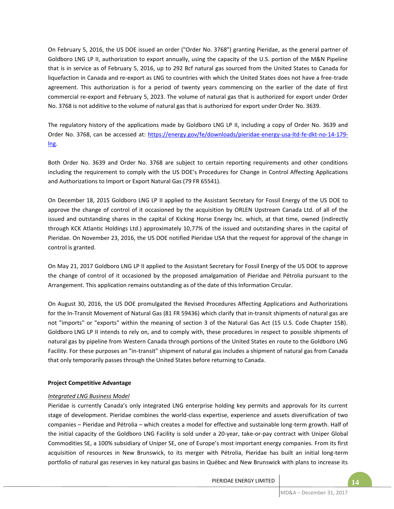On February 5, 2016, the US DOE issued an order ("Order No. 3768") granting Pieridae, as the general partner of Goldboro LNG LP II, authorization to export annually, using the capacity of the U.S. portion of the M&N Pipeline that is in service as of February 5, 2016, up to 292 Bcf natural gas sourced from the United States to Canada for liquefaction in Canada and re-export as LNG to countries with which the United States does not have a free-trade agreement. This authorization is for a period of twenty years commencing on the earlier of the date of first commercial re-export and February 5, 2023. The volume of natural gas that is authorized for export under Order No. 3768 is not additive to the volume of natural gas that is authorized for export under Order No. 3639.

The regulatory history of the applications made by Goldboro LNG LP II, including a copy of Order No. 3639 and Order No. 3768, can be accessed at: https://energy.gov/fe/downloads/pieridae-energy-usa-ltd-fe-dkt-no-14-179 lng.

Both Order No. 3639 and Order No. 3768 are subject to certain reporting requirements and other conditions including the requirement to comply with the US DOE's Procedures for Change in Control Affecting Applications and Authorizations to Import or Export Natural Gas (79 FR 65541).

On December 18, 2015 Goldboro LNG LP II applied to the Assistant Secretary for Fossil Energy of the US DOE to approve the change of control of it occasioned by the acquisition by ORLEN Upstream Canada Ltd. of all of the issued and outstanding shares in the capital of Kicking Horse Energy Inc. which, at that time, owned (indirectly through KCK Atlantic Holdings Ltd.) approximately 10,77% of the issued and outstanding shares in the capital of Pieridae. On November 23, 2016, the US DOE notified Pieridae USA that the request for approval of the change in control is granted.

On May 21, 2017 Goldboro LNG LP II applied to the Assistant Secretary for Fossil Energy of the US DOE to approve the change of control of it occasioned by the proposed amalgamation of Pieridae and Pétrolia pursuant to the Arrangement. This application remains outstanding as of the date of this Information Circular.

On August 30, 2016, the US DOE promulgated the Revised Procedures Affecting Applications and Authorizations for the In-Transit Movement of Natural Gas (81 FR 59436) which clarify that in-transit shipments of natural gas are not "imports" or "exports" within the meaning of section 3 of the Natural Gas Act (15 U.S. Code Chapter 15B). Goldboro LNG LP II intends to rely on, and to comply with, these procedures in respect to possible shipments of natural gas by pipeline from Western Canada through portions of the United States en route to the Goldboro LNG Facility. For these purposes an "in-transit" shipment of natural gas includes a shipment of natural gas from Canada that only temporarily passes through the United States before returning to Canada.

## **Project Competitive Advantage**

# *Integrated LNG Business Model*

Pieridae is currently Canada's only integrated LNG enterprise holding key permits and approvals for its current stage of development. Pieridae combines the world-class expertise, experience and assets diversification of two companies – Pieridae and Pétrolia – which creates a model for effective and sustainable long-term growth. Half of the initial capacity of the Goldboro LNG Facility is sold under a 20-year, take-or-pay contract with Uniper Global Commodities SE, a 100% subsidiary of Uniper SE, one of Europe's most important energy companies. From its first acquisition of resources in New Brunswick, to its merger with Pétrolia, Pieridae has built an initial long-term portfolio of natural gas reserves in key natural gas basins in Québec and New Brunswick with plans to increase its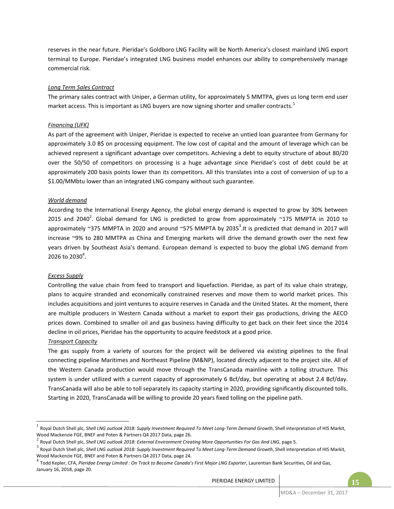reserves in the near future. Pieridae's Goldboro LNG Facility will be North America's closest mainland LNG export terminal to Europe. Pieridae's integrated LNG business model enhances our ability to comprehensively manage commercial risk.

## *Long Term Sales Contract*

The primary sales contract with Uniper, a German utility, for approximately 5 MMTPA, gives us long term end user market access. This is important as LNG buyers are now signing shorter and smaller contracts.<sup>1</sup>

# *Financing (UFK)*

As part of the agreement with Uniper, Pieridae is expected to receive an untied loan guarantee from Germany for approximately 3.0 B\$ on processing equipment. The low cost of capital and the amount of leverage which can be achieved represent a significant advantage over competitors. Achieving a debt to equity structure of about 80/20 over the 50/50 of competitors on processing is a huge advantage since Pieridae's cost of debt could be at approximately 200 basis points lower than its competitors. All this translates into a cost of conversion of up to a \$1.00/MMbtu lower than an integrated LNG company without such guarantee.

# *World demand*

According to the International Energy Agency, the global energy demand is expected to grow by 30% between 2015 and 2040<sup>2</sup>. Global demand for LNG is predicted to grow from approximately ~175 MMPTA in 2010 to approximately ~375 MMPTA in 2020 and around ~575 MMPTA by 2035<sup>3</sup>. It is predicted that demand in 2017 will increase ~9% to 280 MMTPA as China and Emerging markets will drive the demand growth over the next few years driven by Southeast Asia's demand. European demand is expected to buoy the global LNG demand from  $2026$  to  $2030^4$ .

## *Excess Supply*

Controlling the value chain from feed to transport and liquefaction. Pieridae, as part of its value chain strategy, plans to acquire stranded and economically constrained reserves and move them to world market prices. This includes acquisitions and joint ventures to acquire reserves in Canada and the United States. At the moment, there are multiple producers in Western Canada without a market to export their gas productions, driving the AECO prices down. Combined to smaller oil and gas business having difficulty to get back on their feet since the 2014 decline in oil prices, Pieridae has the opportunity to acquire feedstock at a good price.

# *Transport Capacity*

-

The gas supply from a variety of sources for the project will be delivered via existing pipelines to the final connecting pipeline Maritimes and Northeast Pipeline (M&NP), located directly adjacent to the project site. All of the Western Canada production would move through the TransCanada mainline with a tolling structure. This system is under utilized with a current capacity of approximately 6 Bcf/day, but operating at about 2.4 Bcf/day. TransCanada will also be able to toll separately its capacity starting in 2020, providing significantly discounted tolls. Starting in 2020, TransCanada will be willing to provide 20 years fixed tolling on the pipeline path.

<sup>&</sup>lt;sup>1</sup> Royal Dutch Shell plc, *Shell LNG outlook 2018: Supply Investment Required To Meet Long-Term Demand Growth, Shell interpretation of HIS Markit,* Wood Mackenzie FGE, BNEF and Poten & Partners Q4 2017 Data, page 26.

<sup>2</sup> Royal Dutch Shell plc, *Shell LNG outlook 2018: External Environment Creating More Opportunities For Gas And LNG*, page 5.

<sup>&</sup>lt;sup>3</sup> Royal Dutch Shell plc, *Shell LNG outlook 2018: Supply Investment Required To Meet Long-Term Demand Growth, Shell interpretation of HIS Markit,* Wood Mackenzie FGE, BNEF and Poten & Partners Q4 2017 Data, page 24.

<sup>4</sup> Todd Kepler, CFA, *Pieridae Energy Limited : On Track to Become Canada's First Major LNG Exporter*, Laurentian Bank Securities, Oil and Gas, January 16, 2018, page 20.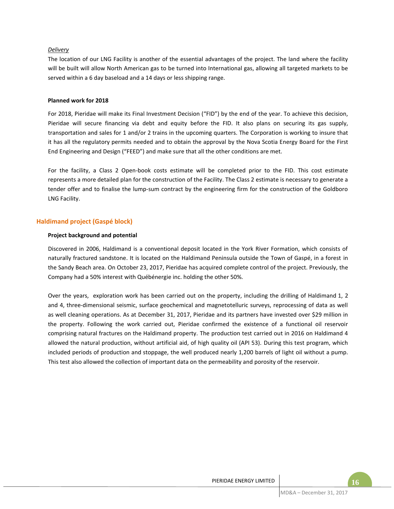## *Delivery*

The location of our LNG Facility is another of the essential advantages of the project. The land where the facility will be built will allow North American gas to be turned into International gas, allowing all targeted markets to be served within a 6 day baseload and a 14 days or less shipping range.

#### **Planned work for 2018**

For 2018, Pieridae will make its Final Investment Decision ("FID") by the end of the year. To achieve this decision, Pieridae will secure financing via debt and equity before the FID. It also plans on securing its gas supply, transportation and sales for 1 and/or 2 trains in the upcoming quarters. The Corporation is working to insure that it has all the regulatory permits needed and to obtain the approval by the Nova Scotia Energy Board for the First End Engineering and Design ("FEED") and make sure that all the other conditions are met.

For the facility, a Class 2 Open-book costs estimate will be completed prior to the FID. This cost estimate represents a more detailed plan for the construction of the Facility. The Class 2 estimate is necessary to generate a tender offer and to finalise the lump-sum contract by the engineering firm for the construction of the Goldboro LNG Facility.

## **Haldimand project (Gaspé block)**

## **Project background and potential**

Discovered in 2006, Haldimand is a conventional deposit located in the York River Formation, which consists of naturally fractured sandstone. It is located on the Haldimand Peninsula outside the Town of Gaspé, in a forest in the Sandy Beach area. On October 23, 2017, Pieridae has acquired complete control of the project. Previously, the Company had a 50% interest with Québénergie inc. holding the other 50%.

Over the years, exploration work has been carried out on the property, including the drilling of Haldimand 1, 2 and 4, three-dimensional seismic, surface geochemical and magnetotelluric surveys, reprocessing of data as well as well cleaning operations. As at December 31, 2017, Pieridae and its partners have invested over \$29 million in the property. Following the work carried out, Pieridae confirmed the existence of a functional oil reservoir comprising natural fractures on the Haldimand property. The production test carried out in 2016 on Haldimand 4 allowed the natural production, without artificial aid, of high quality oil (API 53). During this test program, which included periods of production and stoppage, the well produced nearly 1,200 barrels of light oil without a pump. This test also allowed the collection of important data on the permeability and porosity of the reservoir.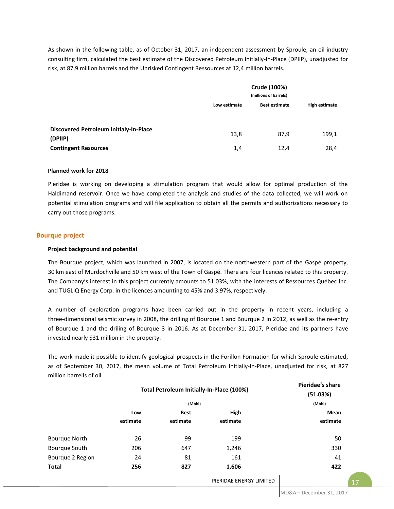As shown in the following table, as of October 31, 2017, an independent assessment by Sproule, an oil industry consulting firm, calculated the best estimate of the Discovered Petroleum Initially-In-Place (DPIIP), unadjusted for risk, at 87,9 million barrels and the Unrisked Contingent Ressources at 12,4 million barrels.

|                                                          | Crude (100%)<br>(millions of barrels)                 |      |       |  |  |
|----------------------------------------------------------|-------------------------------------------------------|------|-------|--|--|
|                                                          | High estimate<br>Low estimate<br><b>Best estimate</b> |      |       |  |  |
|                                                          |                                                       |      |       |  |  |
| <b>Discovered Petroleum Initialy-In-Place</b><br>(DPIIP) | 13,8                                                  | 87,9 | 199,1 |  |  |
| <b>Contingent Resources</b>                              | 1,4                                                   | 12,4 | 28,4  |  |  |

#### **Planned work for 2018**

Pieridae is working on developing a stimulation program that would allow for optimal production of the Haldimand reservoir. Once we have completed the analysis and studies of the data collected, we will work on potential stimulation programs and will file application to obtain all the permits and authorizations necessary to carry out those programs.

## **Bourque project**

## **Project background and potential**

The Bourque project, which was launched in 2007, is located on the northwestern part of the Gaspé property, 30 km east of Murdochville and 50 km west of the Town of Gaspé. There are four licences related to this property. The Company's interest in this project currently amounts to 51.03%, with the interests of Ressources Québec Inc. and TUGLIQ Energy Corp. in the licences amounting to 45% and 3.97%, respectively.

A number of exploration programs have been carried out in the property in recent years, including a three-dimensional seismic survey in 2008, the drilling of Bourque 1 and Bourque 2 in 2012, as well as the re-entry of Bourque 1 and the driling of Bourque 3 in 2016. As at December 31, 2017, Pieridae and its partners have invested nearly \$31 million in the property.

The work made it possible to identify geological prospects in the Forillon Formation for which Sproule estimated, as of September 30, 2017, the mean volume of Total Petroleum Initially-In-Place, unadjusted for risk, at 827 million barrells of oil.

|                      | Total Petroleum Initially-In-Place (100%) |             |                         | Pieridae's share<br>(51.03%) |
|----------------------|-------------------------------------------|-------------|-------------------------|------------------------------|
|                      |                                           | (Mbbl)      |                         | (Mbbl)                       |
|                      | Low                                       | <b>Best</b> | High                    | Mean                         |
| estimate             |                                           | estimate    | estimate                | estimate                     |
| <b>Bourque North</b> | 26                                        | 99          | 199                     | 50                           |
| Bourque South        | 206                                       | 647         | 1,246                   | 330                          |
| Bourque 2 Region     | 24                                        | 81          | 161                     | 41                           |
| <b>Total</b>         | 256                                       | 827         | 1,606                   | 422                          |
|                      |                                           |             | PIERIDAE ENERGY LIMITED | 17                           |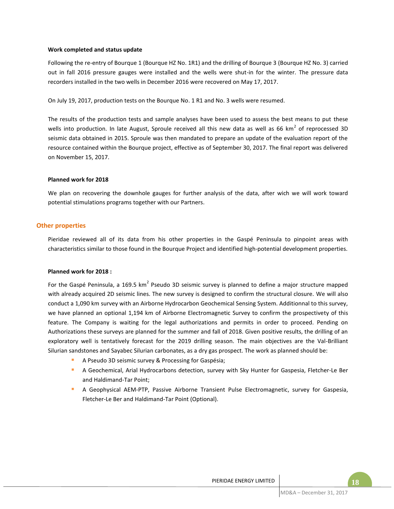#### **Work completed and status update**

Following the re-entry of Bourque 1 (Bourque HZ No. 1R1) and the drilling of Bourque 3 (Bourque HZ No. 3) carried out in fall 2016 pressure gauges were installed and the wells were shut-in for the winter. The pressure data recorders installed in the two wells in December 2016 were recovered on May 17, 2017.

On July 19, 2017, production tests on the Bourque No. 1 R1 and No. 3 wells were resumed.

The results of the production tests and sample analyses have been used to assess the best means to put these wells into production. In late August, Sproule received all this new data as well as 66 km<sup>2</sup> of reprocessed 3D seismic data obtained in 2015. Sproule was then mandated to prepare an update of the evaluation report of the resource contained within the Bourque project, effective as of September 30, 2017. The final report was delivered on November 15, 2017.

## **Planned work for 2018**

We plan on recovering the downhole gauges for further analysis of the data, after wich we will work toward potential stimulations programs together with our Partners.

## **Other properties**

Pieridae reviewed all of its data from his other properties in the Gaspé Peninsula to pinpoint areas with characteristics similar to those found in the Bourque Project and identified high-potential development properties.

#### **Planned work for 2018 :**

For the Gaspé Peninsula, a 169.5 km<sup>2</sup> Pseudo 3D seismic survey is planned to define a major structure mapped with already acquired 2D seismic lines. The new survey is designed to confirm the structural closure. We will also conduct a 1,090 km survey with an Airborne Hydrocarbon Geochemical Sensing System. Additionnal to this survey, we have planned an optional 1,194 km of Airborne Electromagnetic Survey to confirm the prospectivety of this feature. The Company is waiting for the legal authorizations and permits in order to proceed. Pending on Authorizations these surveys are planned for the summer and fall of 2018. Given positive results, the drilling of an exploratory well is tentatively forecast for the 2019 drilling season. The main objectives are the Val-Brilliant Silurian sandstones and Sayabec Silurian carbonates, as a dry gas prospect. The work as planned should be:

- A Pseudo 3D seismic survey & Processing for Gaspésia;
- A Geochemical, Arial Hydrocarbons detection, survey with Sky Hunter for Gaspesia, Fletcher-Le Ber and Haldimand-Tar Point;
- A Geophysical AEM-PTP, Passive Airborne Transient Pulse Electromagnetic, survey for Gaspesia, Fletcher-Le Ber and Haldimand-Tar Point (Optional).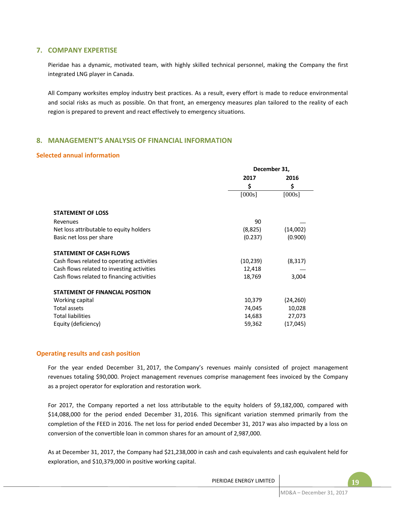# **7. COMPANY EXPERTISE**

Pieridae has a dynamic, motivated team, with highly skilled technical personnel, making the Company the first integrated LNG player in Canada.

All Company worksites employ industry best practices. As a result, every effort is made to reduce environmental and social risks as much as possible. On that front, an emergency measures plan tailored to the reality of each region is prepared to prevent and react effectively to emergency situations.

# **8. MANAGEMENT'S ANALYSIS OF FINANCIAL INFORMATION**

## **Selected annual information**

|                                            | December 31, |           |  |
|--------------------------------------------|--------------|-----------|--|
|                                            | 2017         | 2016      |  |
|                                            | \$           | \$        |  |
|                                            | [000s]       | [000s]    |  |
|                                            |              |           |  |
| <b>STATEMENT OF LOSS</b>                   |              |           |  |
| Revenues                                   | 90           |           |  |
| Net loss attributable to equity holders    | (8,825)      | (14,002)  |  |
| Basic net loss per share                   | (0.237)      | (0.900)   |  |
| <b>STATEMENT OF CASH FLOWS</b>             |              |           |  |
| Cash flows related to operating activities | (10, 239)    | (8,317)   |  |
| Cash flows related to investing activities | 12,418       |           |  |
| Cash flows related to financing activities | 18,769       | 3,004     |  |
| <b>STATEMENT OF FINANCIAL POSITION</b>     |              |           |  |
| Working capital                            | 10,379       | (24, 260) |  |
| <b>Total assets</b>                        | 74,045       | 10,028    |  |
| <b>Total liabilities</b>                   | 14,683       | 27,073    |  |
| Equity (deficiency)                        | 59,362       | (17, 045) |  |

## **Operating results and cash position**

For the year ended December 31, 2017, the Company's revenues mainly consisted of project management revenues totaling \$90,000. Project management revenues comprise management fees invoiced by the Company as a project operator for exploration and restoration work.

For 2017, the Company reported a net loss attributable to the equity holders of \$9,182,000, compared with \$14,088,000 for the period ended December 31, 2016. This significant variation stemmed primarily from the completion of the FEED in 2016. The net loss for period ended December 31, 2017 was also impacted by a loss on conversion of the convertible loan in common shares for an amount of 2,987,000.

As at December 31, 2017, the Company had \$21,238,000 in cash and cash equivalents and cash equivalent held for exploration, and \$10,379,000 in positive working capital.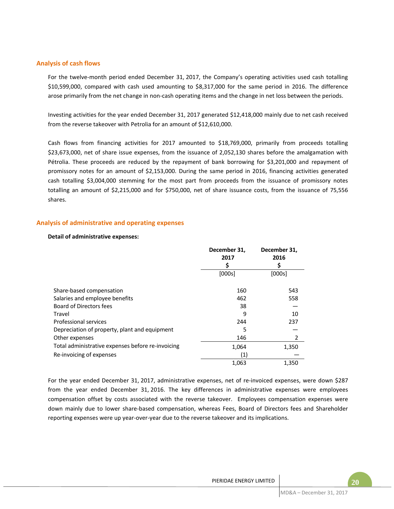## **Analysis of cash flows**

For the twelve-month period ended December 31, 2017, the Company's operating activities used cash totalling \$10,599,000, compared with cash used amounting to \$8,317,000 for the same period in 2016. The difference arose primarily from the net change in non-cash operating items and the change in net loss between the periods.

Investing activities for the year ended December 31, 2017 generated \$12,418,000 mainly due to net cash received from the reverse takeover with Petrolia for an amount of \$12,610,000.

Cash flows from financing activities for 2017 amounted to \$18,769,000, primarily from proceeds totalling \$23,673,000, net of share issue expenses, from the issuance of 2,052,130 shares before the amalgamation with Pétrolia. These proceeds are reduced by the repayment of bank borrowing for \$3,201,000 and repayment of promissory notes for an amount of \$2,153,000. During the same period in 2016, financing activities generated cash totalling \$3,004,000 stemming for the most part from proceeds from the issuance of promissory notes totalling an amount of \$2,215,000 and for \$750,000, net of share issuance costs, from the issuance of 75,556 shares.

## **Analysis of administrative and operating expenses**

#### **Detail of administrative expenses:**

|                                                   | December 31,<br>2017<br>S | December 31,<br>2016<br>S |
|---------------------------------------------------|---------------------------|---------------------------|
|                                                   | [000s]                    | [000s]                    |
| Share-based compensation                          | 160                       | 543                       |
| Salaries and employee benefits                    | 462                       | 558                       |
| Board of Directors fees                           | 38                        |                           |
| Travel                                            | 9                         | 10                        |
| Professional services                             | 244                       | 237                       |
| Depreciation of property, plant and equipment     | 5                         |                           |
| Other expenses                                    | 146                       | 2                         |
| Total administrative expenses before re-invoicing | 1,064                     | 1,350                     |
| Re-invoicing of expenses                          | (1)                       |                           |
|                                                   | 1,063                     | 1,350                     |

For the year ended December 31, 2017, administrative expenses, net of re-invoiced expenses, were down \$287 from the year ended December 31, 2016. The key differences in administrative expenses were employees compensation offset by costs associated with the reverse takeover. Employees compensation expenses were down mainly due to lower share-based compensation, whereas Fees, Board of Directors fees and Shareholder reporting expenses were up year-over-year due to the reverse takeover and its implications.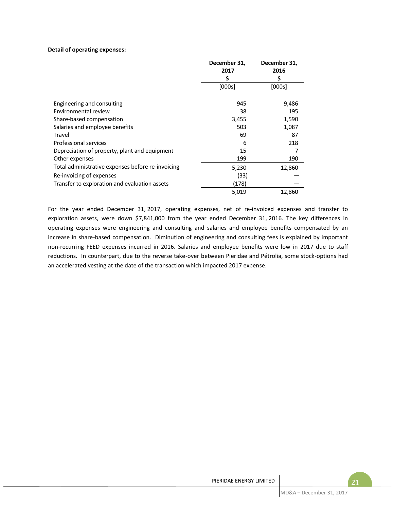## **Detail of operating expenses:**

|                                                   | December 31, | December 31, |
|---------------------------------------------------|--------------|--------------|
|                                                   | 2017         | 2016         |
|                                                   | \$           | \$           |
|                                                   | [000s]       | [000s]       |
|                                                   |              |              |
| Engineering and consulting                        | 945          | 9,486        |
| Environmental review                              | 38           | 195          |
| Share-based compensation                          | 3,455        | 1,590        |
| Salaries and employee benefits                    | 503          | 1,087        |
| Travel                                            | 69           | 87           |
| Professional services                             | 6            | 218          |
| Depreciation of property, plant and equipment     | 15           |              |
| Other expenses                                    | 199          | 190          |
| Total administrative expenses before re-invoicing | 5,230        | 12,860       |
| Re-invoicing of expenses                          | (33)         |              |
| Transfer to exploration and evaluation assets     | (178)        |              |
|                                                   | 5,019        | 12,860       |

For the year ended December 31, 2017, operating expenses, net of re-invoiced expenses and transfer to exploration assets, were down \$7,841,000 from the year ended December 31, 2016. The key differences in operating expenses were engineering and consulting and salaries and employee benefits compensated by an increase in share-based compensation. Diminution of engineering and consulting fees is explained by important non-recurring FEED expenses incurred in 2016. Salaries and employee benefits were low in 2017 due to staff reductions. In counterpart, due to the reverse take-over between Pieridae and Pétrolia, some stock-options had an accelerated vesting at the date of the transaction which impacted 2017 expense.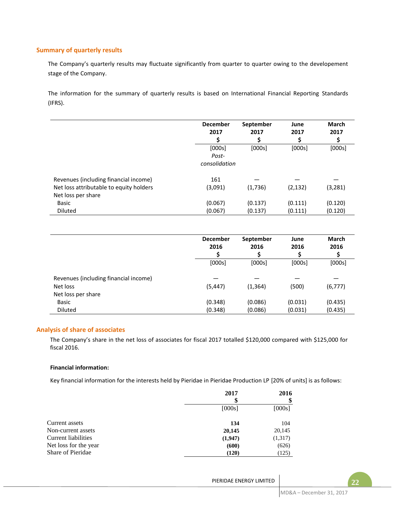## **Summary of quarterly results**

The Company's quarterly results may fluctuate significantly from quarter to quarter owing to the developement stage of the Company.

The information for the summary of quarterly results is based on International Financial Reporting Standards (IFRS).

|                                         | <b>December</b><br>2017 | September<br>2017<br>S | June<br>2017 | <b>March</b><br>2017<br>S |
|-----------------------------------------|-------------------------|------------------------|--------------|---------------------------|
|                                         | [000s]                  | [000s]                 | [000s]       | [000s]                    |
|                                         | Post-                   |                        |              |                           |
|                                         | consolidation           |                        |              |                           |
| Revenues (including financial income)   | 161                     |                        |              |                           |
| Net loss attributable to equity holders | (3,091)                 | (1,736)                | (2, 132)     | (3, 281)                  |
| Net loss per share                      |                         |                        |              |                           |
| <b>Basic</b>                            | (0.067)                 | (0.137)                | (0.111)      | (0.120)                   |
| <b>Diluted</b>                          | (0.067)                 | (0.137)                | (0.111)      | (0.120)                   |

|                                       | <b>December</b><br>2016 | September<br>2016 | June<br>2016 | <b>March</b><br>2016<br>S |
|---------------------------------------|-------------------------|-------------------|--------------|---------------------------|
|                                       | [000s]                  | [000s]            | [000s]       | [000s]                    |
| Revenues (including financial income) |                         |                   |              |                           |
| Net loss                              | (5, 447)                | (1, 364)          | (500)        | (6, 777)                  |
| Net loss per share                    |                         |                   |              |                           |
| Basic                                 | (0.348)                 | (0.086)           | (0.031)      | (0.435)                   |
| Diluted                               | (0.348)                 | (0.086)           | (0.031)      | (0.435)                   |

#### **Analysis of share of associates**

The Company's share in the net loss of associates for fiscal 2017 totalled \$120,000 compared with \$125,000 for fiscal 2016.

## **Financial information:**

Key financial information for the interests held by Pieridae in Pieridae Production LP [20% of units] is as follows:

|                       | 2017    | 2016    |
|-----------------------|---------|---------|
|                       | S       |         |
|                       | [000s]  | [000s]  |
| Current assets        | 134     | 104     |
| Non-current assets    | 20,145  | 20,145  |
| Current liabilities   | (1,947) | (1,317) |
| Net loss for the year | (600)   | (626)   |
| Share of Pieridae     | (120)   | (125)   |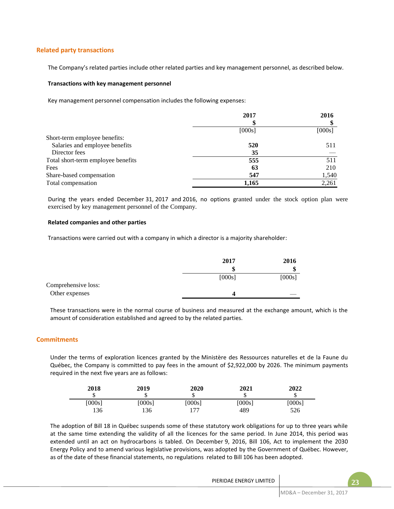## **Related party transactions**

The Company's related parties include other related parties and key management personnel, as described below.

#### **Transactions with key management personnel**

Key management personnel compensation includes the following expenses:

|                                    | 2017   | 2016   |
|------------------------------------|--------|--------|
|                                    |        |        |
|                                    | [000s] | [000s] |
| Short-term employee benefits:      |        |        |
| Salaries and employee benefits     | 520    | 511    |
| Director fees                      | 35     |        |
| Total short-term employee benefits | 555    | 511    |
| Fees                               | 63     | 210    |
| Share-based compensation           | 547    | 1,540  |
| Total compensation                 | 1,165  | 2,261  |

During the years ended December 31, 2017 and 2016, no options granted under the stock option plan were exercised by key management personnel of the Company.

#### **Related companies and other parties**

Transactions were carried out with a company in which a director is a majority shareholder:

|                     | 2017   | 2016   |
|---------------------|--------|--------|
|                     | œ<br>æ |        |
|                     | [000s] | [000s] |
| Comprehensive loss: |        |        |
| Other expenses      |        |        |

These transactions were in the normal course of business and measured at the exchange amount, which is the amount of consideration established and agreed to by the related parties.

## **Commitments**

Under the terms of exploration licences granted by the Ministère des Ressources naturelles et de la Faune du Québec, the Company is committed to pay fees in the amount of \$2,922,000 by 2026. The minimum payments required in the next five years are as follows:

| 2018<br>ሖ<br>D | 2019   | <b>2020</b><br>ιD | 2021   | 2022<br>ω |
|----------------|--------|-------------------|--------|-----------|
| [000s]         | [000s] | [000s]            | [000s] | [000s]    |
| 136            | 36     | 177               | 489    | 526       |

The adoption of Bill 18 in Québec suspends some of these statutory work obligations for up to three years while at the same time extending the validity of all the licences for the same period. In June 2014, this period was extended until an act on hydrocarbons is tabled. On December 9, 2016, Bill 106, Act to implement the 2030 Energy Policy and to amend various legislative provisions, was adopted by the Government of Québec. However, as of the date of these financial statements, no regulations related to Bill 106 has been adopted.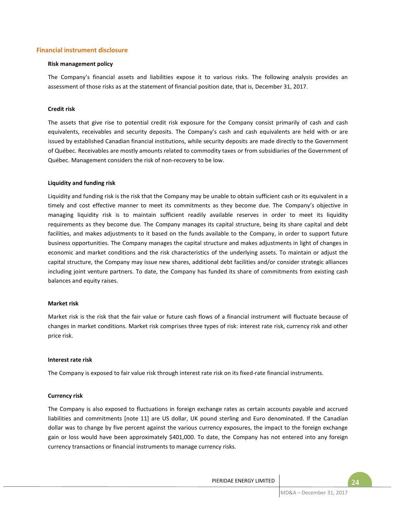## **Financial instrument disclosure**

#### **Risk management policy**

The Company's financial assets and liabilities expose it to various risks. The following analysis provides an assessment of those risks as at the statement of financial position date, that is, December 31, 2017.

#### **Credit risk**

The assets that give rise to potential credit risk exposure for the Company consist primarily of cash and cash equivalents, receivables and security deposits. The Company's cash and cash equivalents are held with or are issued by established Canadian financial institutions, while security deposits are made directly to the Government of Québec. Receivables are mostly amounts related to commodity taxes or from subsidiaries of the Government of Québec. Management considers the risk of non-recovery to be low.

#### **Liquidity and funding risk**

Liquidity and funding risk is the risk that the Company may be unable to obtain sufficient cash or its equivalent in a timely and cost effective manner to meet its commitments as they become due. The Company's objective in managing liquidity risk is to maintain sufficient readily available reserves in order to meet its liquidity requirements as they become due. The Company manages its capital structure, being its share capital and debt facilities, and makes adjustments to it based on the funds available to the Company, in order to support future business opportunities. The Company manages the capital structure and makes adjustments in light of changes in economic and market conditions and the risk characteristics of the underlying assets. To maintain or adjust the capital structure, the Company may issue new shares, additional debt facilities and/or consider strategic alliances including joint venture partners. To date, the Company has funded its share of commitments from existing cash balances and equity raises.

#### **Market risk**

Market risk is the risk that the fair value or future cash flows of a financial instrument will fluctuate because of changes in market conditions. Market risk comprises three types of risk: interest rate risk, currency risk and other price risk.

#### **Interest rate risk**

The Company is exposed to fair value risk through interest rate risk on its fixed-rate financial instruments.

#### **Currency risk**

The Company is also exposed to fluctuations in foreign exchange rates as certain accounts payable and accrued liabilities and commitments [note 11] are US dollar, UK pound sterling and Euro denominated. If the Canadian dollar was to change by five percent against the various currency exposures, the impact to the foreign exchange gain or loss would have been approximately \$401,000. To date, the Company has not entered into any foreign currency transactions or financial instruments to manage currency risks.

PIERIDAE ENERGY LIMITED **FOR A SET AND A 24** 24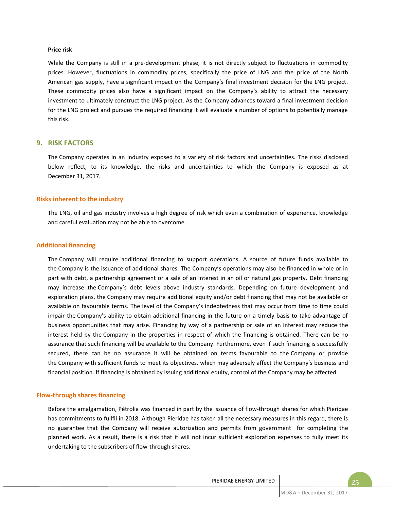#### **Price risk**

While the Company is still in a pre-development phase, it is not directly subject to fluctuations in commodity prices. However, fluctuations in commodity prices, specifically the price of LNG and the price of the North American gas supply, have a significant impact on the Company's final investment decision for the LNG project. These commodity prices also have a significant impact on the Company's ability to attract the necessary investment to ultimately construct the LNG project. As the Company advances toward a final investment decision for the LNG project and pursues the required financing it will evaluate a number of options to potentially manage this risk.

## **9. RISK FACTORS**

The Company operates in an industry exposed to a variety of risk factors and uncertainties. The risks disclosed below reflect, to its knowledge, the risks and uncertainties to which the Company is exposed as at December 31, 2017.

#### **Risks inherent to the industry**

The LNG, oil and gas industry involves a high degree of risk which even a combination of experience, knowledge and careful evaluation may not be able to overcome.

#### **Additional financing**

The Company will require additional financing to support operations. A source of future funds available to the Company is the issuance of additional shares. The Company's operations may also be financed in whole or in part with debt, a partnership agreement or a sale of an interest in an oil or natural gas property. Debt financing may increase the Company's debt levels above industry standards. Depending on future development and exploration plans, the Company may require additional equity and/or debt financing that may not be available or available on favourable terms. The level of the Company's indebtedness that may occur from time to time could impair the Company's ability to obtain additional financing in the future on a timely basis to take advantage of business opportunities that may arise. Financing by way of a partnership or sale of an interest may reduce the interest held by the Company in the properties in respect of which the financing is obtained. There can be no assurance that such financing will be available to the Company. Furthermore, even if such financing is successfully secured, there can be no assurance it will be obtained on terms favourable to the Company or provide the Company with sufficient funds to meet its objectives, which may adversely affect the Company's business and financial position. If financing is obtained by issuing additional equity, control of the Company may be affected.

## **Flow-through shares financing**

Before the amalgamation, Pétrolia was financed in part by the issuance of flow-through shares for which Pieridae has commitments to fullfil in 2018. Although Pieridae has taken all the necessary measures in this regard, there is no guarantee that the Company will receive autorization and permits from government for completing the planned work. As a result, there is a risk that it will not incur sufficient exploration expenses to fully meet its undertaking to the subscribers of flow-through shares.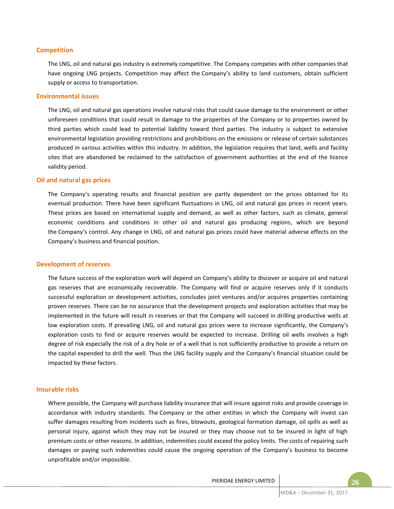## **Competition**

The LNG, oil and natural gas industry is extremely competitive. The Company competes with other companies that have ongoing LNG projects. Competition may affect the Company's ability to land customers, obtain sufficient supply or access to transportation.

#### **Environmental issues**

The LNG, oil and natural gas operations involve natural risks that could cause damage to the environment or other unforeseen conditions that could result in damage to the properties of the Company or to properties owned by third parties which could lead to potential liability toward third parties. The industry is subject to extensive environmental legislation providing restrictions and prohibitions on the emissions or release of certain substances produced in various activities within this industry. In addition, the legislation requires that land, wells and facility sites that are abandoned be reclaimed to the satisfaction of government authorities at the end of the licence validity period.

## **Oil and natural gas prices**

The Company's operating results and financial position are partly dependent on the prices obtained for its eventual production. There have been significant fluctuations in LNG, oil and natural gas prices in recent years. These prices are based on international supply and demand, as well as other factors, such as climate, general economic conditions and conditions in other oil and natural gas producing regions, which are beyond the Company's control. Any change in LNG, oil and natural gas prices could have material adverse effects on the Company's business and financial position.

#### **Development of reserves**

The future success of the exploration work will depend on Company's ability to discover or acquire oil and natural gas reserves that are economically recoverable. The Company will find or acquire reserves only if it conducts successful exploration or development activities, concludes joint ventures and/or acquires properties containing proven reserves. There can be no assurance that the development projects and exploration activities that may be implemented in the future will result in reserves or that the Company will succeed in drilling productive wells at low exploration costs. If prevailing LNG, oil and natural gas prices were to increase significantly, the Company's exploration costs to find or acquire reserves would be expected to increase. Drilling oil wells involves a high degree of risk especially the risk of a dry hole or of a well that is not sufficiently productive to provide a return on the capital expended to drill the well. Thus the LNG facility supply and the Company's financial situation could be impacted by these factors.

## **Insurable risks**

Where possible, the Company will purchase liability insurance that will insure against risks and provide coverage in accordance with industry standards. The Company or the other entities in which the Company will invest can suffer damages resulting from incidents such as fires, blowouts, geological formation damage, oil spills as well as personal injury, against which they may not be insured or they may choose not to be insured in light of high premium costs or other reasons. In addition, indemnities could exceed the policy limits. The costs of repairing such damages or paying such indemnities could cause the ongoing operation of the Company's business to become unprofitable and/or impossible.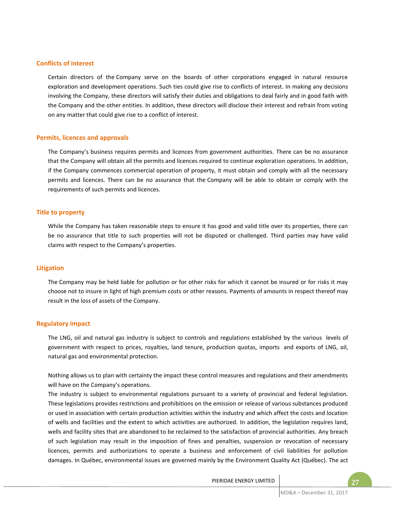## **Conflicts of interest**

Certain directors of the Company serve on the boards of other corporations engaged in natural resource exploration and development operations. Such ties could give rise to conflicts of interest. In making any decisions involving the Company, these directors will satisfy their duties and obligations to deal fairly and in good faith with the Company and the other entities. In addition, these directors will disclose their interest and refrain from voting on any matter that could give rise to a conflict of interest.

#### **Permits, licences and approvals**

The Company's business requires permits and licences from government authorities. There can be no assurance that the Company will obtain all the permits and licences required to continue exploration operations. In addition, if the Company commences commercial operation of property, it must obtain and comply with all the necessary permits and licences. There can be no assurance that the Company will be able to obtain or comply with the requirements of such permits and licences.

## **Title to property**

While the Company has taken reasonable steps to ensure it has good and valid title over its properties, there can be no assurance that title to such properties will not be disputed or challenged. Third parties may have valid claims with respect to the Company's properties.

#### **Litigation**

The Company may be held liable for pollution or for other risks for which it cannot be insured or for risks it may choose not to insure in light of high premium costs or other reasons. Payments of amounts in respect thereof may result in the loss of assets of the Company.

#### **Regulatory impact**

The LNG, oil and natural gas industry is subject to controls and regulations established by the various levels of government with respect to prices, royalties, land tenure, production quotas, imports and exports of LNG, oil, natural gas and environmental protection.

Nothing allows us to plan with certainty the impact these control measures and regulations and their amendments will have on the Company's operations.

The industry is subject to environmental regulations pursuant to a variety of provincial and federal legislation. These legislations provides restrictions and prohibitions on the emission or release of various substances produced or used in association with certain production activities within the industry and which affect the costs and location of wells and facilities and the extent to which activities are authorized. In addition, the legislation requires land, wells and facility sites that are abandoned to be reclaimed to the satisfaction of provincial authorities. Any breach of such legislation may result in the imposition of fines and penalties, suspension or revocation of necessary licences, permits and authorizations to operate a business and enforcement of civil liabilities for pollution damages. In Québec, environmental issues are governed mainly by the Environment Quality Act (Québec). The act

PIERIDAE ENERGY LIMITED **FOR A 27** 27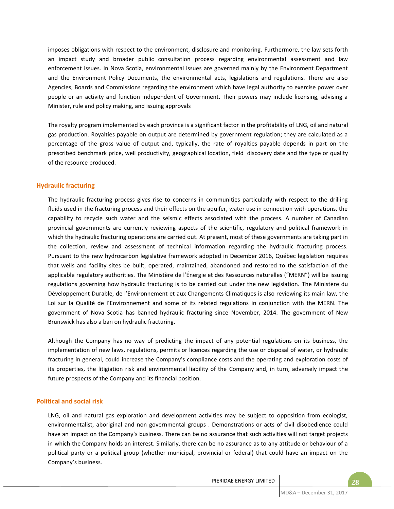imposes obligations with respect to the environment, disclosure and monitoring. Furthermore, the law sets forth an impact study and broader public consultation process regarding environmental assessment and law enforcement issues. In Nova Scotia, environmental issues are governed mainly by the Environment Department and the Environment Policy Documents, the environmental acts, legislations and regulations. There are also Agencies, Boards and Commissions regarding the environment which have legal authority to exercise power over people or an activity and function independent of Government. Their powers may include licensing, advising a Minister, rule and policy making, and issuing approvals

The royalty program implemented by each province is a significant factor in the profitability of LNG, oil and natural gas production. Royalties payable on output are determined by government regulation; they are calculated as a percentage of the gross value of output and, typically, the rate of royalties payable depends in part on the prescribed benchmark price, well productivity, geographical location, field discovery date and the type or quality of the resource produced.

## **Hydraulic fracturing**

The hydraulic fracturing process gives rise to concerns in communities particularly with respect to the drilling fluids used in the fracturing process and their effects on the aquifer, water use in connection with operations, the capability to recycle such water and the seismic effects associated with the process. A number of Canadian provincial governments are currently reviewing aspects of the scientific, regulatory and political framework in which the hydraulic fracturing operations are carried out. At present, most of these governments are taking part in the collection, review and assessment of technical information regarding the hydraulic fracturing process. Pursuant to the new hydrocarbon legislative framework adopted in December 2016, Québec legislation requires that wells and facility sites be built, operated, maintained, abandoned and restored to the satisfaction of the applicable regulatory authorities. The Ministère de l'Énergie et des Ressources naturelles ("MERN") will be issuing regulations governing how hydraulic fracturing is to be carried out under the new legislation. The Ministère du Développement Durable, de l'Environnement et aux Changements Climatiques is also reviewing its main law, the Loi sur la Qualité de l'Environnement and some of its related regulations in conjunction with the MERN. The government of Nova Scotia has banned hydraulic fracturing since November, 2014. The government of New Brunswick has also a ban on hydraulic fracturing.

Although the Company has no way of predicting the impact of any potential regulations on its business, the implementation of new laws, regulations, permits or licences regarding the use or disposal of water, or hydraulic fracturing in general, could increase the Company's compliance costs and the operating and exploration costs of its properties, the litigiation risk and environmental liability of the Company and, in turn, adversely impact the future prospects of the Company and its financial position.

## **Political and social risk**

LNG, oil and natural gas exploration and development activities may be subject to opposition from ecologist, environmentalist, aboriginal and non governmental groups . Demonstrations or acts of civil disobedience could have an impact on the Company's business. There can be no assurance that such activities will not target projects in which the Company holds an interest. Similarly, there can be no assurance as to any attitude or behaviour of a political party or a political group (whether municipal, provincial or federal) that could have an impact on the Company's business.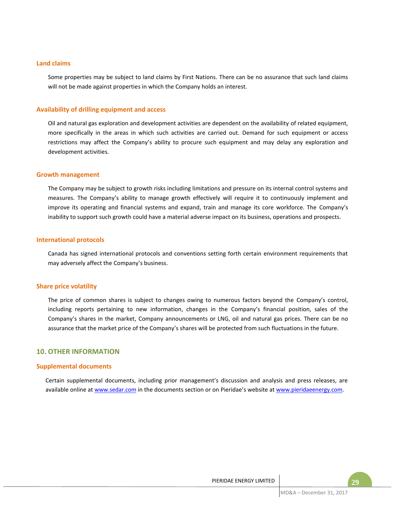## **Land claims**

Some properties may be subject to land claims by First Nations. There can be no assurance that such land claims will not be made against properties in which the Company holds an interest.

## **Availability of drilling equipment and access**

Oil and natural gas exploration and development activities are dependent on the availability of related equipment, more specifically in the areas in which such activities are carried out. Demand for such equipment or access restrictions may affect the Company's ability to procure such equipment and may delay any exploration and development activities.

## **Growth management**

The Company may be subject to growth risks including limitations and pressure on its internal control systems and measures. The Company's ability to manage growth effectively will require it to continuously implement and improve its operating and financial systems and expand, train and manage its core workforce. The Company's inability to support such growth could have a material adverse impact on its business, operations and prospects.

#### **International protocols**

Canada has signed international protocols and conventions setting forth certain environment requirements that may adversely affect the Company's business.

#### **Share price volatility**

The price of common shares is subject to changes owing to numerous factors beyond the Company's control, including reports pertaining to new information, changes in the Company's financial position, sales of the Company's shares in the market, Company announcements or LNG, oil and natural gas prices. There can be no assurance that the market price of the Company's shares will be protected from such fluctuations in the future.

# **10. OTHER INFORMATION**

#### **Supplemental documents**

Certain supplemental documents, including prior management's discussion and analysis and press releases, are available online at www.sedar.com in the documents section or on Pieridae's website at www.pieridaeenergy.com.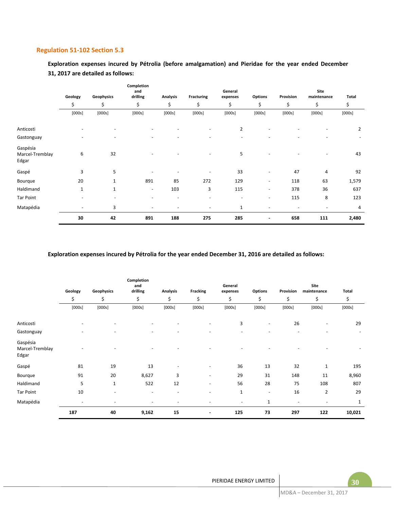## **Regulation 51-102 Section 5.3**

**Exploration expenses incured by Pétrolia (before amalgamation) and Pieridae for the year ended December 31, 2017 are detailed as follows:**

|                                      | Geology<br>Geophysics | Completion<br>and<br>drilling<br><b>Analysis</b><br><b>Fracturing</b> |                          |                          |                          | General<br>expenses      | <b>Options</b>           | Site<br>Provision<br>maintenance |        | Total          |
|--------------------------------------|-----------------------|-----------------------------------------------------------------------|--------------------------|--------------------------|--------------------------|--------------------------|--------------------------|----------------------------------|--------|----------------|
|                                      | \$                    | \$                                                                    | \$                       | \$                       | \$                       | \$                       | \$                       | \$                               | \$     | \$             |
|                                      | [000s]                | [000s]                                                                | [000s]                   | [000s]                   | [000s]                   | [000s]                   | [000s]                   | [000s]                           | [000s] | [000s]         |
| Anticosti                            |                       |                                                                       |                          |                          |                          | $\overline{2}$           |                          |                                  |        | $\overline{2}$ |
| Gastonguay                           | ٠                     | $\overline{\phantom{a}}$                                              | $\overline{\phantom{a}}$ |                          | ٠                        | $\overline{\phantom{a}}$ | ٠                        |                                  | -      |                |
| Gaspésia<br>Marcel-Tremblay<br>Edgar | 6                     | 32                                                                    |                          |                          | ٠                        | 5                        |                          |                                  |        | 43             |
| Gaspé                                | 3                     | 5                                                                     |                          |                          |                          | 33                       | $\overline{\phantom{a}}$ | 47                               | 4      | 92             |
| Bourque                              | 20                    | 1                                                                     | 891                      | 85                       | 272                      | 129                      | $\overline{\phantom{a}}$ | 118                              | 63     | 1,579          |
| Haldimand                            | $\mathbf{1}$          | 1                                                                     | $\overline{\phantom{a}}$ | 103                      | 3                        | 115                      | $\overline{\phantom{a}}$ | 378                              | 36     | 637            |
| Tar Point                            | ٠                     |                                                                       |                          | $\overline{\phantom{a}}$ | $\overline{\phantom{0}}$ | $\overline{\phantom{a}}$ | $\overline{\phantom{a}}$ | 115                              | 8      | 123            |
| Matapédia                            | ٠                     | 3                                                                     |                          |                          |                          | $\mathbf{1}$             | ٠                        |                                  |        | 4              |
|                                      | 30                    | 42                                                                    | 891                      | 188                      | 275                      | 285                      | $\overline{a}$           | 658                              | 111    | 2,480          |

## **Exploration expenses incured by Pétrolia for the year ended December 31, 2016 are detailed as follows:**

|                                      |                          |                          | Completion<br>and        |                          |                          | General                  |                          |                          | Site                     |        |
|--------------------------------------|--------------------------|--------------------------|--------------------------|--------------------------|--------------------------|--------------------------|--------------------------|--------------------------|--------------------------|--------|
|                                      | Geology                  | Geophysics               | drilling                 | <b>Analysis</b>          | Fracking                 | expenses                 | <b>Options</b>           | Provision                | maintenance              | Total  |
|                                      | \$                       | \$                       | \$                       | \$                       | \$                       | \$                       | \$                       | \$                       | \$                       | \$     |
|                                      | [000s]                   | [000s]                   | [000s]                   | [000s]                   | [000s]                   | [000s]                   | [000s]                   | [000s]                   | [000s]                   | [000s] |
| Anticosti                            |                          |                          |                          |                          |                          | 3                        |                          | 26                       |                          | 29     |
| Gastonguay                           |                          |                          |                          |                          |                          | $\overline{\phantom{a}}$ |                          |                          |                          |        |
| Gaspésia<br>Marcel-Tremblay<br>Edgar |                          |                          |                          |                          |                          |                          |                          |                          |                          |        |
| Gaspé                                | 81                       | 19                       | 13                       |                          |                          | 36                       | 13                       | 32                       | $1\,$                    | 195    |
| Bourque                              | 91                       | 20                       | 8,627                    | 3                        | $\overline{\phantom{a}}$ | 29                       | 31                       | 148                      | 11                       | 8,960  |
| Haldimand                            | 5                        | $\mathbf{1}$             | 522                      | 12                       | $\overline{\phantom{a}}$ | 56                       | 28                       | 75                       | 108                      | 807    |
| Tar Point                            | 10                       | $\overline{\phantom{a}}$ | $\overline{\phantom{a}}$ | $\overline{\phantom{a}}$ | $\overline{\phantom{0}}$ | $1\,$                    | $\overline{\phantom{a}}$ | 16                       | $\overline{2}$           | 29     |
| Matapédia                            | $\overline{\phantom{a}}$ |                          | $\overline{\phantom{a}}$ | $\overline{\phantom{0}}$ |                          | $\overline{\phantom{a}}$ | $\mathbf{1}$             | $\overline{\phantom{a}}$ | $\overline{\phantom{a}}$ | 1      |
|                                      | 187                      | 40                       | 9,162                    | 15                       | $\blacksquare$           | 125                      | 73                       | 297                      | 122                      | 10,021 |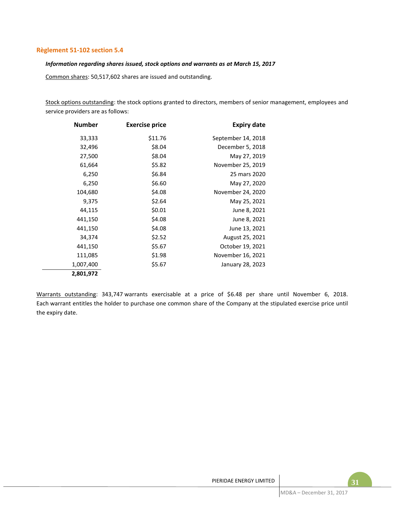## **Règlement 51-102 section 5.4**

# *Information regarding shares issued, stock options and warrants as at March 15, 2017*

Common shares: 50,517,602 shares are issued and outstanding.

Stock options outstanding: the stock options granted to directors, members of senior management, employees and service providers are as follows:

| <b>Number</b> | <b>Exercise price</b> | <b>Expiry date</b> |
|---------------|-----------------------|--------------------|
| 33,333        | \$11.76               | September 14, 2018 |
| 32,496        | \$8.04                | December 5, 2018   |
| 27,500        | \$8.04                | May 27, 2019       |
| 61,664        | \$5.82                | November 25, 2019  |
| 6,250         | \$6.84                | 25 mars 2020       |
| 6,250         | \$6.60                | May 27, 2020       |
| 104,680       | \$4.08                | November 24, 2020  |
| 9,375         | \$2.64                | May 25, 2021       |
| 44,115        | \$0.01                | June 8, 2021       |
| 441,150       | \$4.08                | June 8, 2021       |
| 441,150       | \$4.08                | June 13, 2021      |
| 34,374        | \$2.52                | August 25, 2021    |
| 441,150       | \$5.67                | October 19, 2021   |
| 111,085       | \$1.98                | November 16, 2021  |
| 1,007,400     | \$5.67                | January 28, 2023   |
| 2,801,972     |                       |                    |

Warrants outstanding: 343,747 warrants exercisable at a price of \$6.48 per share until November 6, 2018. Each warrant entitles the holder to purchase one common share of the Company at the stipulated exercise price until the expiry date.